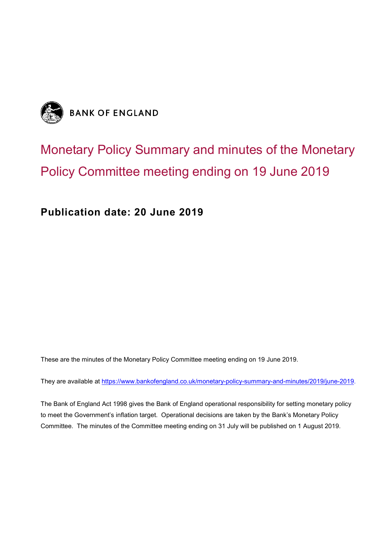

# Monetary Policy Summary and minutes of the Monetary Policy Committee meeting ending on 19 June 2019

**Publication date: 20 June 2019**

These are the minutes of the Monetary Policy Committee meeting ending on 19 June 2019.

They are available at [https://www.bankofengland.co.uk/monetary-policy-summary-and-minutes/2019/june-2019.](http://www.bankofengland.co.uk/publications/Pages/news/2016/001.aspx)

The Bank of England Act 1998 gives the Bank of England operational responsibility for setting monetary policy to meet the Government's inflation target. Operational decisions are taken by the Bank's Monetary Policy Committee. The minutes of the Committee meeting ending on 31 July will be published on 1 August 2019.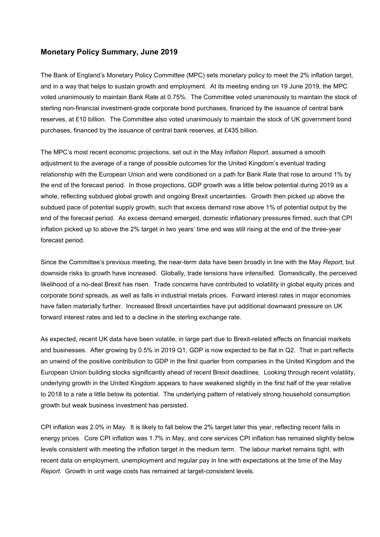### **Monetary Policy Summary, June 2019**

The Bank of England's Monetary Policy Committee (MPC) sets monetary policy to meet the 2% inflation target, and in a way that helps to sustain growth and employment. At its meeting ending on 19 June 2019, the MPC voted unanimously to maintain Bank Rate at 0.75%. The Committee voted unanimously to maintain the stock of sterling non-financial investment-grade corporate bond purchases, financed by the issuance of central bank reserves, at £10 billion. The Committee also voted unanimously to maintain the stock of UK government bond purchases, financed by the issuance of central bank reserves, at £435 billion.

The MPC's most recent economic projections, set out in the May *Inflation Report*, assumed a smooth adjustment to the average of a range of possible outcomes for the United Kingdom's eventual trading relationship with the European Union and were conditioned on a path for Bank Rate that rose to around 1% by the end of the forecast period. In those projections, GDP growth was a little below potential during 2019 as a whole, reflecting subdued global growth and ongoing Brexit uncertainties. Growth then picked up above the subdued pace of potential supply growth, such that excess demand rose above 1% of potential output by the end of the forecast period. As excess demand emerged, domestic inflationary pressures firmed, such that CPI inflation picked up to above the 2% target in two years' time and was still rising at the end of the three-year forecast period.

Since the Committee's previous meeting, the near-term data have been broadly in line with the May *Report*, but downside risks to growth have increased. Globally, trade tensions have intensified. Domestically, the perceived likelihood of a no-deal Brexit has risen. Trade concerns have contributed to volatility in global equity prices and corporate bond spreads, as well as falls in industrial metals prices. Forward interest rates in major economies have fallen materially further. Increased Brexit uncertainties have put additional downward pressure on UK forward interest rates and led to a decline in the sterling exchange rate.

As expected, recent UK data have been volatile, in large part due to Brexit-related effects on financial markets and businesses. After growing by 0.5% in 2019 Q1, GDP is now expected to be flat in Q2. That in part reflects an unwind of the positive contribution to GDP in the first quarter from companies in the United Kingdom and the European Union building stocks significantly ahead of recent Brexit deadlines. Looking through recent volatility, underlying growth in the United Kingdom appears to have weakened slightly in the first half of the year relative to 2018 to a rate a little below its potential. The underlying pattern of relatively strong household consumption growth but weak business investment has persisted.

CPI inflation was 2.0% in May. It is likely to fall below the 2% target later this year, reflecting recent falls in energy prices. Core CPI inflation was 1.7% in May, and core services CPI inflation has remained slightly below levels consistent with meeting the inflation target in the medium term. The labour market remains tight, with recent data on employment, unemployment and regular pay in line with expectations at the time of the May *Report*. Growth in unit wage costs has remained at target-consistent levels.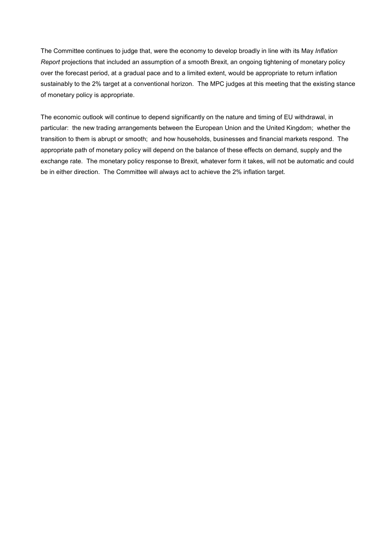The Committee continues to judge that, were the economy to develop broadly in line with its May *Inflation Report* projections that included an assumption of a smooth Brexit, an ongoing tightening of monetary policy over the forecast period, at a gradual pace and to a limited extent, would be appropriate to return inflation sustainably to the 2% target at a conventional horizon. The MPC judges at this meeting that the existing stance of monetary policy is appropriate.

The economic outlook will continue to depend significantly on the nature and timing of EU withdrawal, in particular: the new trading arrangements between the European Union and the United Kingdom; whether the transition to them is abrupt or smooth; and how households, businesses and financial markets respond. The appropriate path of monetary policy will depend on the balance of these effects on demand, supply and the exchange rate. The monetary policy response to Brexit, whatever form it takes, will not be automatic and could be in either direction. The Committee will always act to achieve the 2% inflation target.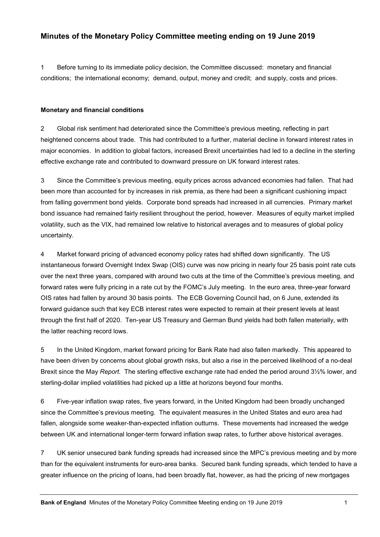## **Minutes of the Monetary Policy Committee meeting ending on 19 June 2019**

1 Before turning to its immediate policy decision, the Committee discussed: monetary and financial conditions; the international economy; demand, output, money and credit; and supply, costs and prices.

#### **Monetary and financial conditions**

2 Global risk sentiment had deteriorated since the Committee's previous meeting, reflecting in part heightened concerns about trade. This had contributed to a further, material decline in forward interest rates in major economies. In addition to global factors, increased Brexit uncertainties had led to a decline in the sterling effective exchange rate and contributed to downward pressure on UK forward interest rates.

3 Since the Committee's previous meeting, equity prices across advanced economies had fallen. That had been more than accounted for by increases in risk premia, as there had been a significant cushioning impact from falling government bond yields. Corporate bond spreads had increased in all currencies. Primary market bond issuance had remained fairly resilient throughout the period, however. Measures of equity market implied volatility, such as the VIX, had remained low relative to historical averages and to measures of global policy uncertainty.

4 Market forward pricing of advanced economy policy rates had shifted down significantly. The US instantaneous forward Overnight Index Swap (OIS) curve was now pricing in nearly four 25 basis point rate cuts over the next three years, compared with around two cuts at the time of the Committee's previous meeting, and forward rates were fully pricing in a rate cut by the FOMC's July meeting. In the euro area, three-year forward OIS rates had fallen by around 30 basis points. The ECB Governing Council had, on 6 June, extended its forward guidance such that key ECB interest rates were expected to remain at their present levels at least through the first half of 2020. Ten-year US Treasury and German Bund yields had both fallen materially, with the latter reaching record lows.

5 In the United Kingdom, market forward pricing for Bank Rate had also fallen markedly. This appeared to have been driven by concerns about global growth risks, but also a rise in the perceived likelihood of a no-deal Brexit since the May *Report.* The sterling effective exchange rate had ended the period around 3½% lower, and sterling-dollar implied volatilities had picked up a little at horizons beyond four months.

6 Five-year inflation swap rates, five years forward, in the United Kingdom had been broadly unchanged since the Committee's previous meeting. The equivalent measures in the United States and euro area had fallen, alongside some weaker-than-expected inflation outturns. These movements had increased the wedge between UK and international longer-term forward inflation swap rates, to further above historical averages.

7 UK senior unsecured bank funding spreads had increased since the MPC's previous meeting and by more than for the equivalent instruments for euro-area banks. Secured bank funding spreads, which tended to have a greater influence on the pricing of loans, had been broadly flat, however, as had the pricing of new mortgages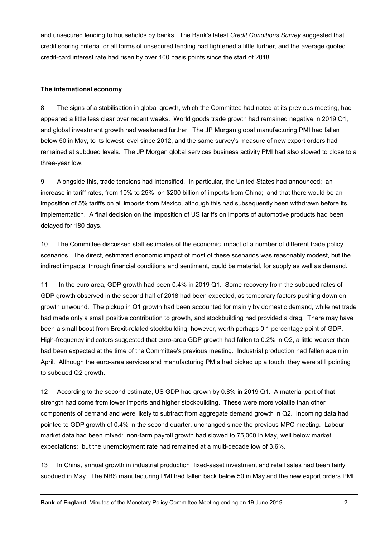and unsecured lending to households by banks. The Bank's latest *Credit Conditions Survey* suggested that credit scoring criteria for all forms of unsecured lending had tightened a little further, and the average quoted credit-card interest rate had risen by over 100 basis points since the start of 2018.

#### **The international economy**

8 The signs of a stabilisation in global growth, which the Committee had noted at its previous meeting, had appeared a little less clear over recent weeks. World goods trade growth had remained negative in 2019 Q1, and global investment growth had weakened further. The JP Morgan global manufacturing PMI had fallen below 50 in May, to its lowest level since 2012, and the same survey's measure of new export orders had remained at subdued levels. The JP Morgan global services business activity PMI had also slowed to close to a three-year low.

9 Alongside this, trade tensions had intensified. In particular, the United States had announced: an increase in tariff rates, from 10% to 25%, on \$200 billion of imports from China; and that there would be an imposition of 5% tariffs on all imports from Mexico, although this had subsequently been withdrawn before its implementation. A final decision on the imposition of US tariffs on imports of automotive products had been delayed for 180 days.

10 The Committee discussed staff estimates of the economic impact of a number of different trade policy scenarios. The direct, estimated economic impact of most of these scenarios was reasonably modest, but the indirect impacts, through financial conditions and sentiment, could be material, for supply as well as demand.

11 In the euro area, GDP growth had been 0.4% in 2019 Q1. Some recovery from the subdued rates of GDP growth observed in the second half of 2018 had been expected, as temporary factors pushing down on growth unwound. The pickup in Q1 growth had been accounted for mainly by domestic demand, while net trade had made only a small positive contribution to growth, and stockbuilding had provided a drag. There may have been a small boost from Brexit-related stockbuilding, however, worth perhaps 0.1 percentage point of GDP. High-frequency indicators suggested that euro-area GDP growth had fallen to 0.2% in Q2, a little weaker than had been expected at the time of the Committee's previous meeting. Industrial production had fallen again in April. Although the euro-area services and manufacturing PMIs had picked up a touch, they were still pointing to subdued Q2 growth.

12 According to the second estimate, US GDP had grown by 0.8% in 2019 Q1. A material part of that strength had come from lower imports and higher stockbuilding. These were more volatile than other components of demand and were likely to subtract from aggregate demand growth in Q2. Incoming data had pointed to GDP growth of 0.4% in the second quarter, unchanged since the previous MPC meeting. Labour market data had been mixed: non-farm payroll growth had slowed to 75,000 in May, well below market expectations; but the unemployment rate had remained at a multi-decade low of 3.6%.

13 In China, annual growth in industrial production, fixed-asset investment and retail sales had been fairly subdued in May. The NBS manufacturing PMI had fallen back below 50 in May and the new export orders PMI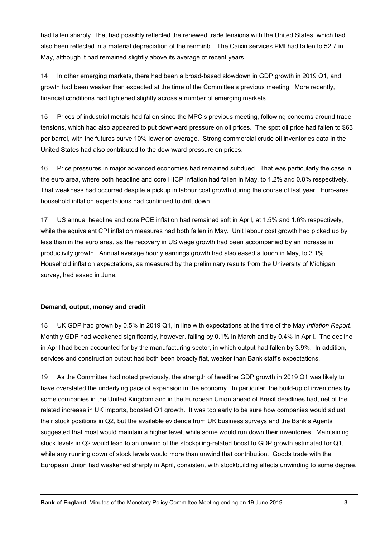had fallen sharply. That had possibly reflected the renewed trade tensions with the United States, which had also been reflected in a material depreciation of the renminbi. The Caixin services PMI had fallen to 52.7 in May, although it had remained slightly above its average of recent years.

14 In other emerging markets, there had been a broad-based slowdown in GDP growth in 2019 Q1, and growth had been weaker than expected at the time of the Committee's previous meeting. More recently, financial conditions had tightened slightly across a number of emerging markets.

15 Prices of industrial metals had fallen since the MPC's previous meeting, following concerns around trade tensions, which had also appeared to put downward pressure on oil prices. The spot oil price had fallen to \$63 per barrel, with the futures curve 10% lower on average. Strong commercial crude oil inventories data in the United States had also contributed to the downward pressure on prices.

16 Price pressures in major advanced economies had remained subdued. That was particularly the case in the euro area, where both headline and core HICP inflation had fallen in May, to 1.2% and 0.8% respectively. That weakness had occurred despite a pickup in labour cost growth during the course of last year. Euro-area household inflation expectations had continued to drift down.

17 US annual headline and core PCE inflation had remained soft in April, at 1.5% and 1.6% respectively, while the equivalent CPI inflation measures had both fallen in May. Unit labour cost growth had picked up by less than in the euro area, as the recovery in US wage growth had been accompanied by an increase in productivity growth. Annual average hourly earnings growth had also eased a touch in May, to 3.1%. Household inflation expectations, as measured by the preliminary results from the University of Michigan survey, had eased in June.

#### **Demand, output, money and credit**

18 UK GDP had grown by 0.5% in 2019 Q1, in line with expectations at the time of the May *Inflation Report*. Monthly GDP had weakened significantly, however, falling by 0.1% in March and by 0.4% in April. The decline in April had been accounted for by the manufacturing sector, in which output had fallen by 3.9%. In addition, services and construction output had both been broadly flat, weaker than Bank staff's expectations.

19 As the Committee had noted previously, the strength of headline GDP growth in 2019 Q1 was likely to have overstated the underlying pace of expansion in the economy. In particular, the build-up of inventories by some companies in the United Kingdom and in the European Union ahead of Brexit deadlines had, net of the related increase in UK imports, boosted Q1 growth. It was too early to be sure how companies would adjust their stock positions in Q2, but the available evidence from UK business surveys and the Bank's Agents suggested that most would maintain a higher level, while some would run down their inventories. Maintaining stock levels in Q2 would lead to an unwind of the stockpiling-related boost to GDP growth estimated for Q1, while any running down of stock levels would more than unwind that contribution. Goods trade with the European Union had weakened sharply in April, consistent with stockbuilding effects unwinding to some degree.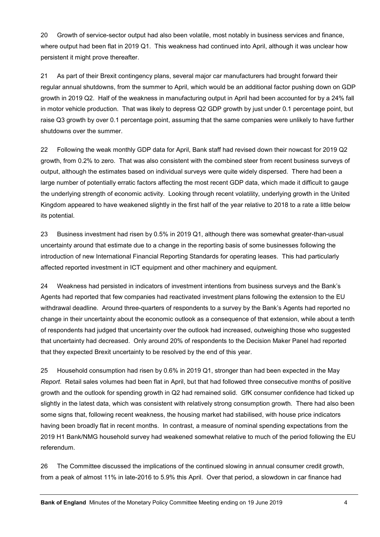20 Growth of service-sector output had also been volatile, most notably in business services and finance, where output had been flat in 2019 Q1. This weakness had continued into April, although it was unclear how persistent it might prove thereafter.

21 As part of their Brexit contingency plans, several major car manufacturers had brought forward their regular annual shutdowns, from the summer to April, which would be an additional factor pushing down on GDP growth in 2019 Q2. Half of the weakness in manufacturing output in April had been accounted for by a 24% fall in motor vehicle production. That was likely to depress Q2 GDP growth by just under 0.1 percentage point, but raise Q3 growth by over 0.1 percentage point, assuming that the same companies were unlikely to have further shutdowns over the summer.

22 Following the weak monthly GDP data for April, Bank staff had revised down their nowcast for 2019 Q2 growth, from 0.2% to zero. That was also consistent with the combined steer from recent business surveys of output, although the estimates based on individual surveys were quite widely dispersed. There had been a large number of potentially erratic factors affecting the most recent GDP data, which made it difficult to gauge the underlying strength of economic activity. Looking through recent volatility, underlying growth in the United Kingdom appeared to have weakened slightly in the first half of the year relative to 2018 to a rate a little below its potential.

23 Business investment had risen by 0.5% in 2019 Q1, although there was somewhat greater-than-usual uncertainty around that estimate due to a change in the reporting basis of some businesses following the introduction of new International Financial Reporting Standards for operating leases. This had particularly affected reported investment in ICT equipment and other machinery and equipment.

24 Weakness had persisted in indicators of investment intentions from business surveys and the Bank's Agents had reported that few companies had reactivated investment plans following the extension to the EU withdrawal deadline. Around three-quarters of respondents to a survey by the Bank's Agents had reported no change in their uncertainty about the economic outlook as a consequence of that extension, while about a tenth of respondents had judged that uncertainty over the outlook had increased, outweighing those who suggested that uncertainty had decreased. Only around 20% of respondents to the Decision Maker Panel had reported that they expected Brexit uncertainty to be resolved by the end of this year.

25 Household consumption had risen by 0.6% in 2019 Q1, stronger than had been expected in the May *Report*. Retail sales volumes had been flat in April, but that had followed three consecutive months of positive growth and the outlook for spending growth in Q2 had remained solid. GfK consumer confidence had ticked up slightly in the latest data, which was consistent with relatively strong consumption growth. There had also been some signs that, following recent weakness, the housing market had stabilised, with house price indicators having been broadly flat in recent months. In contrast, a measure of nominal spending expectations from the 2019 H1 Bank/NMG household survey had weakened somewhat relative to much of the period following the EU referendum.

26 The Committee discussed the implications of the continued slowing in annual consumer credit growth, from a peak of almost 11% in late-2016 to 5.9% this April. Over that period, a slowdown in car finance had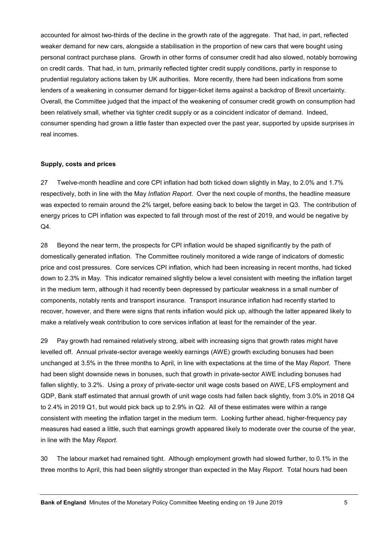accounted for almost two-thirds of the decline in the growth rate of the aggregate. That had, in part, reflected weaker demand for new cars, alongside a stabilisation in the proportion of new cars that were bought using personal contract purchase plans. Growth in other forms of consumer credit had also slowed, notably borrowing on credit cards. That had, in turn, primarily reflected tighter credit supply conditions, partly in response to prudential regulatory actions taken by UK authorities. More recently, there had been indications from some lenders of a weakening in consumer demand for bigger-ticket items against a backdrop of Brexit uncertainty. Overall, the Committee judged that the impact of the weakening of consumer credit growth on consumption had been relatively small, whether via tighter credit supply or as a coincident indicator of demand. Indeed, consumer spending had grown a little faster than expected over the past year, supported by upside surprises in real incomes.

#### **Supply, costs and prices**

27 Twelve-month headline and core CPI inflation had both ticked down slightly in May, to 2.0% and 1.7% respectively, both in line with the May *Inflation Report*. Over the next couple of months, the headline measure was expected to remain around the 2% target, before easing back to below the target in Q3. The contribution of energy prices to CPI inflation was expected to fall through most of the rest of 2019, and would be negative by Q4.

28 Beyond the near term, the prospects for CPI inflation would be shaped significantly by the path of domestically generated inflation. The Committee routinely monitored a wide range of indicators of domestic price and cost pressures. Core services CPI inflation, which had been increasing in recent months, had ticked down to 2.3% in May. This indicator remained slightly below a level consistent with meeting the inflation target in the medium term, although it had recently been depressed by particular weakness in a small number of components, notably rents and transport insurance. Transport insurance inflation had recently started to recover, however, and there were signs that rents inflation would pick up, although the latter appeared likely to make a relatively weak contribution to core services inflation at least for the remainder of the year.

29 Pay growth had remained relatively strong, albeit with increasing signs that growth rates might have levelled off. Annual private-sector average weekly earnings (AWE) growth excluding bonuses had been unchanged at 3.5% in the three months to April, in line with expectations at the time of the May *Report*. There had been slight downside news in bonuses, such that growth in private-sector AWE including bonuses had fallen slightly, to 3.2%. Using a proxy of private-sector unit wage costs based on AWE, LFS employment and GDP, Bank staff estimated that annual growth of unit wage costs had fallen back slightly, from 3.0% in 2018 Q4 to 2.4% in 2019 Q1, but would pick back up to 2.9% in Q2. All of these estimates were within a range consistent with meeting the inflation target in the medium term. Looking further ahead, higher-frequency pay measures had eased a little, such that earnings growth appeared likely to moderate over the course of the year, in line with the May *Report*.

30 The labour market had remained tight. Although employment growth had slowed further, to 0.1% in the three months to April, this had been slightly stronger than expected in the May *Report*. Total hours had been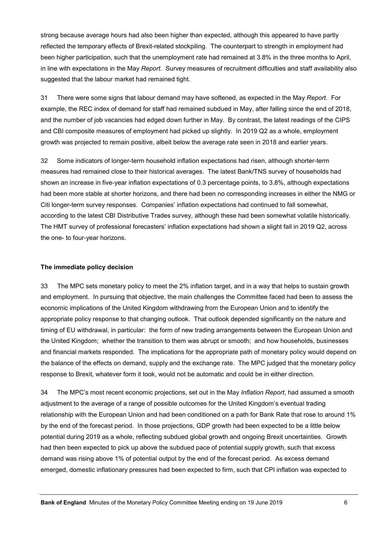strong because average hours had also been higher than expected, although this appeared to have partly reflected the temporary effects of Brexit-related stockpiling. The counterpart to strength in employment had been higher participation, such that the unemployment rate had remained at 3.8% in the three months to April, in line with expectations in the May *Report*. Survey measures of recruitment difficulties and staff availability also suggested that the labour market had remained tight.

31 There were some signs that labour demand may have softened, as expected in the May *Report*. For example, the REC index of demand for staff had remained subdued in May, after falling since the end of 2018, and the number of job vacancies had edged down further in May. By contrast, the latest readings of the CIPS and CBI composite measures of employment had picked up slightly. In 2019 Q2 as a whole, employment growth was projected to remain positive, albeit below the average rate seen in 2018 and earlier years.

32 Some indicators of longer-term household inflation expectations had risen, although shorter-term measures had remained close to their historical averages. The latest Bank/TNS survey of households had shown an increase in five-year inflation expectations of 0.3 percentage points, to 3.8%, although expectations had been more stable at shorter horizons, and there had been no corresponding increases in either the NMG or Citi longer-term survey responses. Companies' inflation expectations had continued to fall somewhat, according to the latest CBI Distributive Trades survey, although these had been somewhat volatile historically. The HMT survey of professional forecasters' inflation expectations had shown a slight fall in 2019 Q2, across the one- to four-year horizons.

#### **The immediate policy decision**

33 The MPC sets monetary policy to meet the 2% inflation target, and in a way that helps to sustain growth and employment. In pursuing that objective, the main challenges the Committee faced had been to assess the economic implications of the United Kingdom withdrawing from the European Union and to identify the appropriate policy response to that changing outlook. That outlook depended significantly on the nature and timing of EU withdrawal, in particular: the form of new trading arrangements between the European Union and the United Kingdom; whether the transition to them was abrupt or smooth; and how households, businesses and financial markets responded. The implications for the appropriate path of monetary policy would depend on the balance of the effects on demand, supply and the exchange rate. The MPC judged that the monetary policy response to Brexit, whatever form it took, would not be automatic and could be in either direction.

34 The MPC's most recent economic projections, set out in the May *Inflation Report*, had assumed a smooth adjustment to the average of a range of possible outcomes for the United Kingdom's eventual trading relationship with the European Union and had been conditioned on a path for Bank Rate that rose to around 1% by the end of the forecast period. In those projections, GDP growth had been expected to be a little below potential during 2019 as a whole, reflecting subdued global growth and ongoing Brexit uncertainties. Growth had then been expected to pick up above the subdued pace of potential supply growth, such that excess demand was rising above 1% of potential output by the end of the forecast period. As excess demand emerged, domestic inflationary pressures had been expected to firm, such that CPI inflation was expected to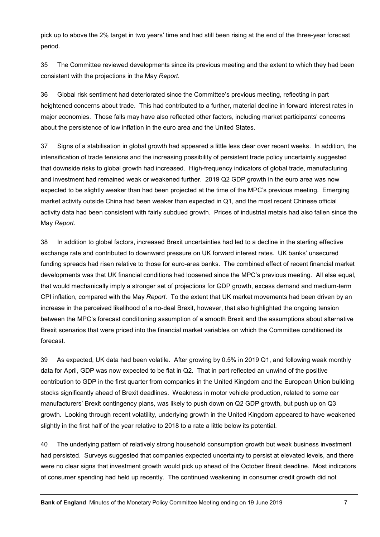pick up to above the 2% target in two years' time and had still been rising at the end of the three-year forecast period.

35 The Committee reviewed developments since its previous meeting and the extent to which they had been consistent with the projections in the May *Report*.

36 Global risk sentiment had deteriorated since the Committee's previous meeting, reflecting in part heightened concerns about trade. This had contributed to a further, material decline in forward interest rates in major economies. Those falls may have also reflected other factors, including market participants' concerns about the persistence of low inflation in the euro area and the United States.

37 Signs of a stabilisation in global growth had appeared a little less clear over recent weeks. In addition, the intensification of trade tensions and the increasing possibility of persistent trade policy uncertainty suggested that downside risks to global growth had increased. High-frequency indicators of global trade, manufacturing and investment had remained weak or weakened further. 2019 Q2 GDP growth in the euro area was now expected to be slightly weaker than had been projected at the time of the MPC's previous meeting. Emerging market activity outside China had been weaker than expected in Q1, and the most recent Chinese official activity data had been consistent with fairly subdued growth. Prices of industrial metals had also fallen since the May *Report*.

38 In addition to global factors, increased Brexit uncertainties had led to a decline in the sterling effective exchange rate and contributed to downward pressure on UK forward interest rates. UK banks' unsecured funding spreads had risen relative to those for euro-area banks. The combined effect of recent financial market developments was that UK financial conditions had loosened since the MPC's previous meeting. All else equal, that would mechanically imply a stronger set of projections for GDP growth, excess demand and medium-term CPI inflation, compared with the May *Report*. To the extent that UK market movements had been driven by an increase in the perceived likelihood of a no-deal Brexit, however, that also highlighted the ongoing tension between the MPC's forecast conditioning assumption of a smooth Brexit and the assumptions about alternative Brexit scenarios that were priced into the financial market variables on which the Committee conditioned its forecast.

39 As expected, UK data had been volatile. After growing by 0.5% in 2019 Q1, and following weak monthly data for April, GDP was now expected to be flat in Q2. That in part reflected an unwind of the positive contribution to GDP in the first quarter from companies in the United Kingdom and the European Union building stocks significantly ahead of Brexit deadlines. Weakness in motor vehicle production, related to some car manufacturers' Brexit contingency plans, was likely to push down on Q2 GDP growth, but push up on Q3 growth. Looking through recent volatility, underlying growth in the United Kingdom appeared to have weakened slightly in the first half of the year relative to 2018 to a rate a little below its potential.

40 The underlying pattern of relatively strong household consumption growth but weak business investment had persisted. Surveys suggested that companies expected uncertainty to persist at elevated levels, and there were no clear signs that investment growth would pick up ahead of the October Brexit deadline. Most indicators of consumer spending had held up recently. The continued weakening in consumer credit growth did not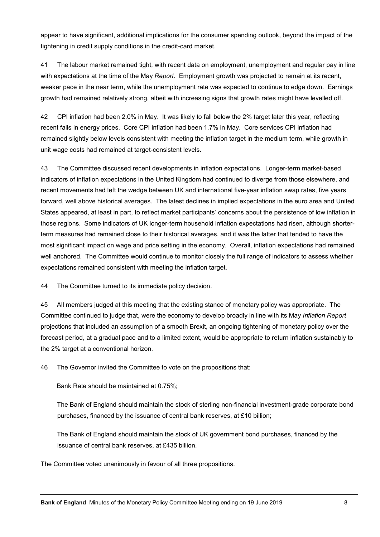appear to have significant, additional implications for the consumer spending outlook, beyond the impact of the tightening in credit supply conditions in the credit-card market.

41 The labour market remained tight, with recent data on employment, unemployment and regular pay in line with expectations at the time of the May *Report*. Employment growth was projected to remain at its recent, weaker pace in the near term, while the unemployment rate was expected to continue to edge down. Earnings growth had remained relatively strong, albeit with increasing signs that growth rates might have levelled off.

42 CPI inflation had been 2.0% in May. It was likely to fall below the 2% target later this year, reflecting recent falls in energy prices. Core CPI inflation had been 1.7% in May. Core services CPI inflation had remained slightly below levels consistent with meeting the inflation target in the medium term, while growth in unit wage costs had remained at target-consistent levels.

43 The Committee discussed recent developments in inflation expectations. Longer-term market-based indicators of inflation expectations in the United Kingdom had continued to diverge from those elsewhere, and recent movements had left the wedge between UK and international five-year inflation swap rates, five years forward, well above historical averages. The latest declines in implied expectations in the euro area and United States appeared, at least in part, to reflect market participants' concerns about the persistence of low inflation in those regions. Some indicators of UK longer-term household inflation expectations had risen, although shorterterm measures had remained close to their historical averages, and it was the latter that tended to have the most significant impact on wage and price setting in the economy. Overall, inflation expectations had remained well anchored. The Committee would continue to monitor closely the full range of indicators to assess whether expectations remained consistent with meeting the inflation target.

44 The Committee turned to its immediate policy decision.

45 All members judged at this meeting that the existing stance of monetary policy was appropriate. The Committee continued to judge that, were the economy to develop broadly in line with its May *Inflation Report* projections that included an assumption of a smooth Brexit, an ongoing tightening of monetary policy over the forecast period, at a gradual pace and to a limited extent, would be appropriate to return inflation sustainably to the 2% target at a conventional horizon.

46 The Governor invited the Committee to vote on the propositions that:

Bank Rate should be maintained at 0.75%;

The Bank of England should maintain the stock of sterling non-financial investment-grade corporate bond purchases, financed by the issuance of central bank reserves, at £10 billion;

The Bank of England should maintain the stock of UK government bond purchases, financed by the issuance of central bank reserves, at £435 billion.

The Committee voted unanimously in favour of all three propositions.